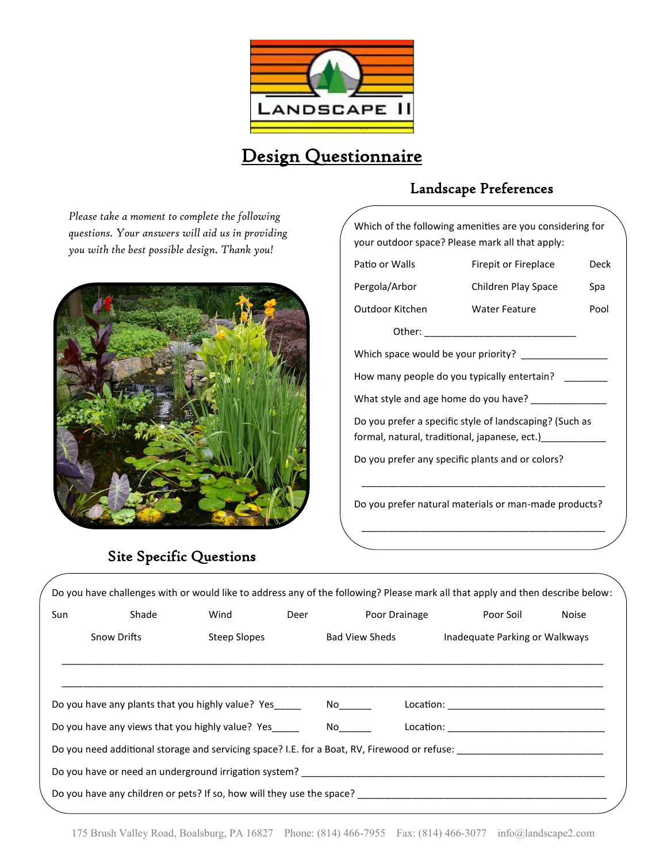

# Design Questionnaire

*Please take a moment to complete the following questions. Your answers will aid us in providing you with the best possible design. Thank you!*



## Landscape Preferences

| Which of the following amenities are you considering for<br>your outdoor space? Please mark all that apply:    |                      |      |  |  |  |  |
|----------------------------------------------------------------------------------------------------------------|----------------------|------|--|--|--|--|
| Patio or Walls                                                                                                 | Firepit or Fireplace | Deck |  |  |  |  |
| Pergola/Arbor                                                                                                  | Children Play Space  | Spa  |  |  |  |  |
| Outdoor Kitchen                                                                                                | <b>Water Feature</b> | Pool |  |  |  |  |
|                                                                                                                |                      |      |  |  |  |  |
| Which space would be your priority?                                                                            |                      |      |  |  |  |  |
| How many people do you typically entertain?                                                                    |                      |      |  |  |  |  |
| What style and age home do you have?                                                                           |                      |      |  |  |  |  |
| Do you prefer a specific style of landscaping? (Such as<br>formal, natural, traditional, japanese, ect.) _____ |                      |      |  |  |  |  |
| Do you prefer any specific plants and or colors?                                                               |                      |      |  |  |  |  |
| Do you prefer natural materials or man-made products?                                                          |                      |      |  |  |  |  |

\_\_\_\_\_\_\_\_\_\_\_\_\_\_\_\_\_\_\_\_\_\_\_\_\_\_\_\_\_\_\_\_\_\_\_\_\_\_\_\_\_\_\_\_\_

## Site Specific Questions

|     |                    |                                                      |      |                                                                                                      | Do you have challenges with or would like to address any of the following? Please mark all that apply and then describe below: |              |
|-----|--------------------|------------------------------------------------------|------|------------------------------------------------------------------------------------------------------|--------------------------------------------------------------------------------------------------------------------------------|--------------|
| Sun | Shade              | Wind                                                 | Deer | Poor Drainage                                                                                        | Poor Soil                                                                                                                      | <b>Noise</b> |
|     | <b>Snow Drifts</b> | <b>Steep Slopes</b>                                  |      | Bad View Sheds                                                                                       | Inadequate Parking or Walkways                                                                                                 |              |
|     |                    |                                                      |      |                                                                                                      |                                                                                                                                |              |
|     |                    | Do you have any plants that you highly value? Yes No |      |                                                                                                      |                                                                                                                                |              |
|     |                    | Do you have any views that you highly value? Yes No  |      |                                                                                                      |                                                                                                                                |              |
|     |                    |                                                      |      |                                                                                                      | Do you need additional storage and servicing space? I.E. for a Boat, RV, Firewood or refuse: _________________                 |              |
|     |                    |                                                      |      |                                                                                                      |                                                                                                                                |              |
|     |                    |                                                      |      | Do you have any children or pets? If so, how will they use the space? ______________________________ |                                                                                                                                |              |